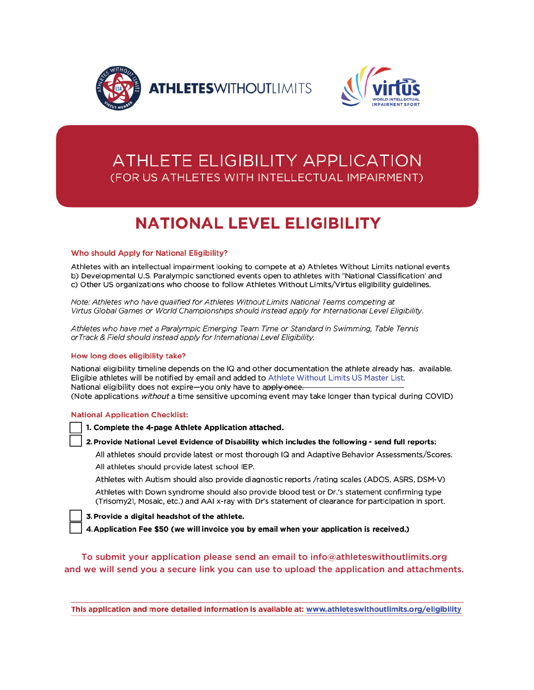



## **ATHLETE ELIGIBILITY APPLICATION** (FOR US ATHLETES WITH INTELLECTUAL IMPAIRMENT)

# **NATIONAL LEVEL ELIGIBILITY**

#### Who should Apply for National Eligibility?

Athletes with an intellectual impairment looking to compete at a) Athletes Without Limits national events b) Developmental U.S. Paralympic sanctioned events open to athletes with "National Classification" and c) Other US organizations who choose to follow Athletes Without Limits/Virtus eligibility guidelines.

Note: Athletes who have qualified for Athletes Without Limits National Teams competing at Virtus Global Games or World Championships should instead apply for International Level Eligibility.

Athletes who have met a Paralympic Emerging Team Time or Standard in Swimming, Table Tennis orTrack & Field should instead apply for International Level Eligibility.

#### How long does eligibility take?

National eligibility timeline depends on the IQ and other documentation the athlete already has. available. Eligible athletes will be notified by email and added to Athlete Without Limits US Master List. National eligibility does not expire-you only have to apply once. (Note applications without a time sensitive upcoming event may take longer than typical during COVID)

#### **National Application Checklist:**

1. Complete the 4-page Athlete Application attached.

#### 2. Provide National Level Evidence of Disability which includes the following - send full reports:

All athletes should provide latest or most thorough IQ and Adaptive Behavior Assessments/Scores. All athletes should provide latest school IEP.

Athletes with Autism should also provide diagnostic reports /rating scales (ADOS, ASRS, DSM-V)

Athletes with Down syndrome should also provide blood test or Dr.'s statement confirming type (Trisomy21, Mosaic, etc.) and AAI x-ray with Dr's statement of clearance for participation in sport.

3. Provide a digital headshot of the athlete.

4. Application Fee \$50 (we will invoice you by email when your application is received.)

To submit your application please send an email to info@athleteswithoutlimits.org and we will send you a secure link you can use to upload the application and attachments.

This application and more detailed information is available at: www.athleteswithoutlimits.org/eligibility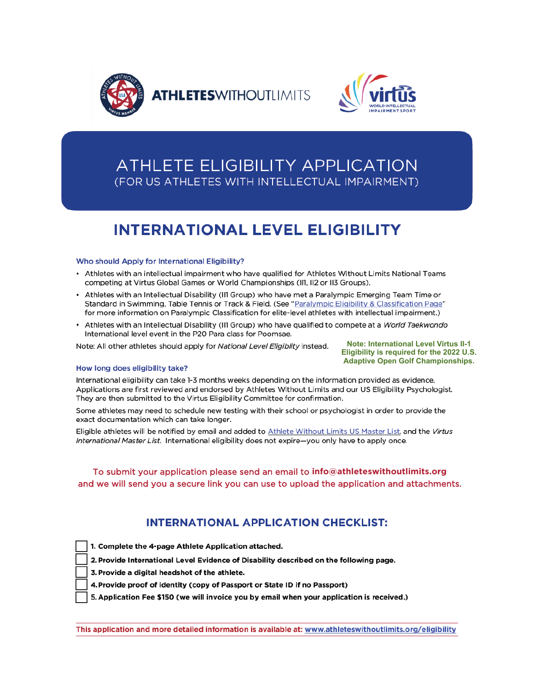



## **ATHLETE ELIGIBILITY APPLICATION** (FOR US ATHLETES WITH INTELLECTUAL IMPAIRMENT)

# **INTERNATIONAL LEVEL ELIGIBILITY**

#### Who should Apply for International Eligibility?

- Athletes with an intellectual impairment who have qualified for Athletes Without Limits National Teams competing at Virtus Global Games or World Championships (III, II2 or II3 Groups).
- Athletes with an Intellectual Disability (III Group) who have met a Paralympic Emerging Team Time or Standard in Swimming, Table Tennis or Track & Field. (See "Paralympic Eligibility & Classification Page" for more information on Paralympic Classification for elite-level athletes with intellectual impairment.)
- Athletes with an Intellectual Disability (III Group) who have qualified to compete at a World Taekwondo International level event in the P20 Para class for Poomsae.

Note: All other athletes should apply for National Level Eligiblity instead.

**Note: International Level Virtus II-1** Eligibility is required for the 2022 U.S. **Adaptive Open Golf Championships.** 

#### How long does eligibility take?

International eligibility can take 1-3 months weeks depending on the information provided as evidence. Applications are first reviewed and endorsed by Athletes Without Limits and our US Eligibility Psychologist. They are then submitted to the Virtus Eligibility Committee for confirmation.

Some athletes may need to schedule new testing with their school or psychologist in order to provide the exact documentation which can take longer.

Eligible athletes will be notified by email and added to Athlete Without Limits US Master List, and the Virtus International Master List. International eligibility does not expire-you only have to apply once.

#### To submit your application please send an email to info@athleteswithoutlimits.org and we will send you a secure link you can use to upload the application and attachments.

### **INTERNATIONAL APPLICATION CHECKLIST:**

1. Complete the 4-page Athlete Application attached.

2. Provide International Level Evidence of Disability described on the following page.

- 3. Provide a digital headshot of the athlete.
- 4. Provide proof of identity (copy of Passport or State ID if no Passport)
- 5. Application Fee \$150 (we will invoice you by email when your application is received.)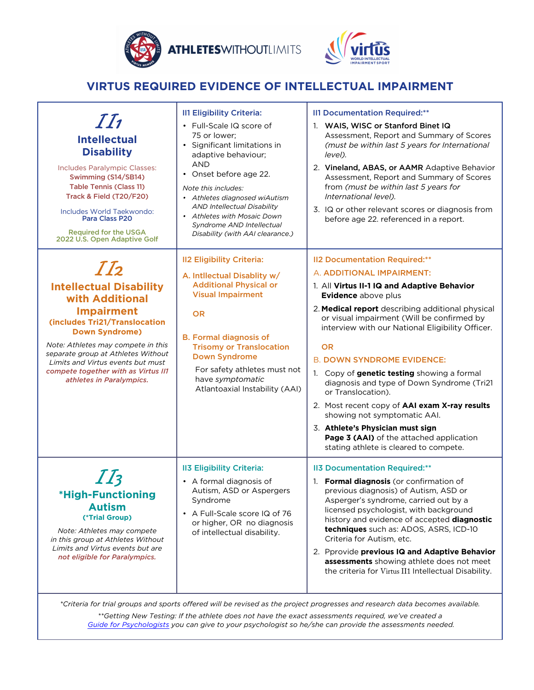

**ATHLETESWITHOUTLIMITS** 



## **VIRTUS REQUIRED EVIDENCE OF INTELLECTUAL IMPAIRMENT**

| II<br><b>Intellectual</b><br><b>Disability</b><br>Includes Paralympic Classes:<br>Swimming (S14/SB14)<br><b>Table Tennis (Class 11)</b><br>Track & Field (T20/F20)<br>Includes World Taekwondo:<br>Para Class P20<br><b>Required for the USGA</b><br>2022 U.S. Open Adaptive Golf                                                       | <b>II1 Eligibility Criteria:</b><br>• Full-Scale IQ score of<br>75 or lower;<br>• Significant limitations in<br>adaptive behaviour;<br>AND<br>• Onset before age 22.<br>Note this includes:<br>• Athletes diagnosed wiAutism<br><b>AND Intellectual Disability</b><br>• Athletes with Mosaic Down<br>Syndrome AND Intellectual<br>Disability (with AAI clearance.) | <b>II1 Documentation Required:**</b><br>1. WAIS, WISC or Stanford Binet IQ<br>Assessment, Report and Summary of Scores<br>(must be within last 5 years for International<br>level).<br>2. Vineland, ABAS, or AAMR Adaptive Behavior<br>Assessment, Report and Summary of Scores<br>from (must be within last 5 years for<br>International level).<br>3. IQ or other relevant scores or diagnosis from<br>before age 22. referenced in a report.                                                                                                                                                                                                                               |
|-----------------------------------------------------------------------------------------------------------------------------------------------------------------------------------------------------------------------------------------------------------------------------------------------------------------------------------------|--------------------------------------------------------------------------------------------------------------------------------------------------------------------------------------------------------------------------------------------------------------------------------------------------------------------------------------------------------------------|-------------------------------------------------------------------------------------------------------------------------------------------------------------------------------------------------------------------------------------------------------------------------------------------------------------------------------------------------------------------------------------------------------------------------------------------------------------------------------------------------------------------------------------------------------------------------------------------------------------------------------------------------------------------------------|
| II <sub>2</sub><br><b>Intellectual Disability</b><br>with Additional<br><b>Impairment</b><br>(includes Tri21/Translocation<br><b>Down Syndrome)</b><br>Note: Athletes may compete in this<br>separate group at Athletes Without<br>Limits and Virtus events but must<br>compete together with as Virtus II1<br>athletes in Paralympics. | <b>II2 Eligibility Criteria:</b><br>A. Intllectual Disablity w/<br><b>Additional Physical or</b><br><b>Visual Impairment</b><br><b>OR</b><br><b>B. Formal diagnosis of</b><br><b>Trisomy or Translocation</b><br><b>Down Syndrome</b><br>For safety athletes must not<br>have symptomatic<br>Atlantoaxial Instability (AAI)                                        | <b>II2 Documentation Required:**</b><br>A. ADDITIONAL IMPAIRMENT:<br>1. All Virtus II-1 IQ and Adaptive Behavior<br>Evidence above plus<br>2. Medical report describing additional physical<br>or visual impairment (Will be confirmed by<br>interview with our National Eligibility Officer.<br><b>OR</b><br><b>B. DOWN SYNDROME EVIDENCE:</b><br>1. Copy of genetic testing showing a formal<br>diagnosis and type of Down Syndrome (Tri21<br>or Translocation).<br>2. Most recent copy of AAI exam X-ray results<br>showing not symptomatic AAI.<br>3. Athlete's Physician must sign<br>Page 3 (AAI) of the attached application<br>stating athlete is cleared to compete. |
| *High-Functioning<br><b>Autism</b><br>(*Trial Group)<br>Note: Athletes may compete<br>in this group at Athletes Without<br>Limits and Virtus events but are<br>not eligible for Paralympics.                                                                                                                                            | <b>II3 Eligibility Criteria:</b><br>• A formal diagnosis of<br>Autism, ASD or Aspergers<br>Syndrome<br>• A Full-Scale score IQ of 76<br>or higher, OR no diagnosis<br>of intellectual disability.                                                                                                                                                                  | <b>II3 Documentation Required:**</b><br>1. Formal diagnosis (or confirmation of<br>previous diagnosis) of Autism, ASD or<br>Asperger's syndrome, carried out by a<br>licensed psychologist, with background<br>history and evidence of accepted diagnostic<br>techniques such as: ADOS, ASRS, ICD-10<br>Criteria for Autism, etc.<br>2. Pprovide previous IQ and Adaptive Behavior<br>assessments showing athlete does not meet<br>the criteria for Virtus II1 Intellectual Disability.                                                                                                                                                                                       |

*\*Criteria for trial groups and sports offered will be revised as the project progresses and research data becomes available.*

*\*\*Getting New Testing: If the athlete does not have the exact assessments required, we've created a [Guide for Psychologists](http://www.athleteswithoutlimits.org/downloads/SportsEligiblityGuidelinesforPsychologists.pdf) you can give to your psychologist so he/she can provide the assessments needed.*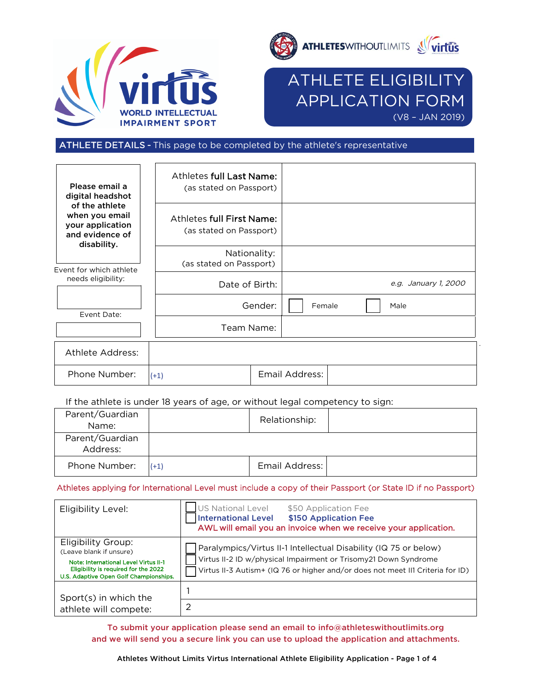



## ATHLETE ELIGIBILITY APPLICATION FORM  $(V8 - JAN 2019)$

ATHLETE DETAILS - This page to be completed by the athlete's representative

| Please email a<br>digital headshot                                                     | Athletes full Last Name:<br>(as stated on Passport)         |         |                |  |                      |
|----------------------------------------------------------------------------------------|-------------------------------------------------------------|---------|----------------|--|----------------------|
| of the athlete<br>when you email<br>your application<br>and evidence of<br>disability. | <b>Athletes full First Name:</b><br>(as stated on Passport) |         |                |  |                      |
| Event for which athlete                                                                | Nationality:<br>(as stated on Passport)                     |         |                |  |                      |
| needs eligibility:                                                                     | Date of Birth:                                              |         |                |  | e.g. January 1, 2000 |
| Event Date:                                                                            |                                                             | Gender: | Female         |  | Male                 |
|                                                                                        | Team Name:                                                  |         |                |  |                      |
| <b>Athlete Address:</b>                                                                |                                                             |         |                |  |                      |
| Phone Number:                                                                          | $(+1)$                                                      |         | Email Address: |  |                      |

If the athlete is under 18 years of age, or without legal competency to sign:

| Parent/Guardian<br>Name:    |        | Relationship:  |  |
|-----------------------------|--------|----------------|--|
| Parent/Guardian<br>Address: |        |                |  |
| Phone Number:               | $(+1)$ | Email Address: |  |

#### Athletes applying for International Level must include a copy of their Passport (or State ID if no Passport)

| Eligibility Level:                                                                                                                                                       | US National Level<br>\$50 Application Fee<br><b>International Level</b><br>\$150 Application Fee<br>AWL will email you an invoice when we receive your application.                                                   |
|--------------------------------------------------------------------------------------------------------------------------------------------------------------------------|-----------------------------------------------------------------------------------------------------------------------------------------------------------------------------------------------------------------------|
| Eligibility Group:<br>(Leave blank if unsure)<br>Note: International Level Virtus II-1<br>Eligibility is required for the 2022<br>U.S. Adaptive Open Golf Championships. | Paralympics/Virtus II-1 Intellectual Disability (IQ 75 or below)<br>Virtus II-2 ID w/physical Impairment or Trisomy21 Down Syndrome<br>Virtus II-3 Autism+ (IQ 76 or higher and/or does not meet II1 Criteria for ID) |
| Sport(s) in which the<br>athlete will compete:                                                                                                                           |                                                                                                                                                                                                                       |

To submit your application please send an email to info@athleteswithoutlimits.org and we will send you a secure link you can use to upload the application and attachments.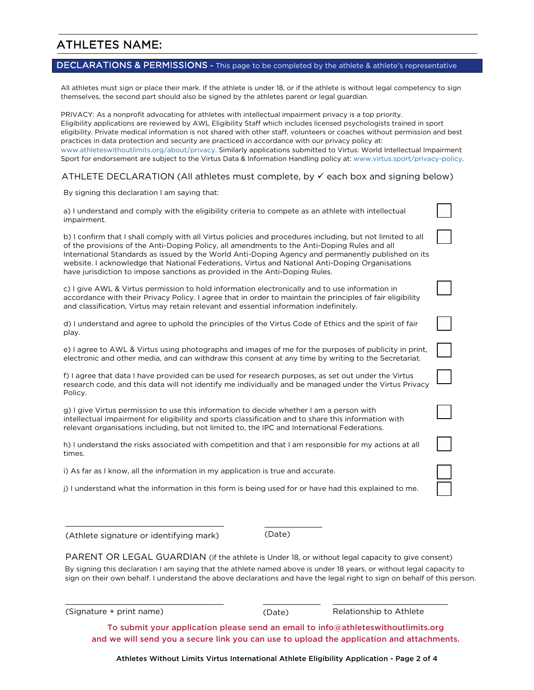## ATHLETES NAME:

### DECLARATIONS & PERMISSIONS - This page to be completed by the athlete & athlete's representative

All athletes must sign or place their mark. If the athlete is under 18, or if the athlete is without legal competency to sign themselves, the second part should also be signed by the athletes parent or legal guardian.

PRIVACY: As a nonprofit advocating for athletes with intellectual impairment privacy is a top priority. Eligibility applications are reviewed by AWL Eligibility Staff which includes licensed psychologists trained in sport eligibility. Private medical information is not shared with other staff, volunteers or coaches without permission and best practices in data protection and security are practiced in accordance with our privacy policy at: www.athleteswithoutlimits.org/about/privacy. Similarly applications submitted to Virtus: World Intellectual Impairment Sport for endorsement are subject to the Virtus Data & Information Handling policy at: www.virtus.sport/privacy-policy.

#### ATHLETE DECLARATION (All athletes must complete, by  $\checkmark$  each box and signing below)

By signing this declaration I am saying that:

| a) I understand and comply with the eligibility criteria to compete as an athlete with intellectual<br>impairment.                                                                                                                                                                                                                                                                                                                                                                                 |  |
|----------------------------------------------------------------------------------------------------------------------------------------------------------------------------------------------------------------------------------------------------------------------------------------------------------------------------------------------------------------------------------------------------------------------------------------------------------------------------------------------------|--|
| b) I confirm that I shall comply with all Virtus policies and procedures including, but not limited to all<br>of the provisions of the Anti-Doping Policy, all amendments to the Anti-Doping Rules and all<br>International Standards as issued by the World Anti-Doping Agency and permanently published on its<br>website. I acknowledge that National Federations, Virtus and National Anti-Doping Organisations<br>have jurisdiction to impose sanctions as provided in the Anti-Doping Rules. |  |
| c) I give AWL & Virtus permission to hold information electronically and to use information in<br>accordance with their Privacy Policy. I agree that in order to maintain the principles of fair eligibility<br>and classification, Virtus may retain relevant and essential information indefinitely.                                                                                                                                                                                             |  |
| d) I understand and agree to uphold the principles of the Virtus Code of Ethics and the spirit of fair<br>play.                                                                                                                                                                                                                                                                                                                                                                                    |  |
| e) I agree to AWL & Virtus using photographs and images of me for the purposes of publicity in print,<br>electronic and other media, and can withdraw this consent at any time by writing to the Secretariat.                                                                                                                                                                                                                                                                                      |  |
| f) I agree that data I have provided can be used for research purposes, as set out under the Virtus<br>research code, and this data will not identify me individually and be managed under the Virtus Privacy<br>Policy.                                                                                                                                                                                                                                                                           |  |
| g) I give Virtus permission to use this information to decide whether I am a person with<br>intellectual impairment for eligibility and sports classification and to share this information with<br>relevant organisations including, but not limited to, the IPC and International Federations.                                                                                                                                                                                                   |  |
| h) I understand the risks associated with competition and that I am responsible for my actions at all<br>times.                                                                                                                                                                                                                                                                                                                                                                                    |  |
| i) As far as I know, all the information in my application is true and accurate.                                                                                                                                                                                                                                                                                                                                                                                                                   |  |
| (i) I understand what the information in this form is being used for or have had this explained to me.                                                                                                                                                                                                                                                                                                                                                                                             |  |

MMMMMMMMMMMMMMMMMMMMMMMMMMMMMMMMM (Athlete signature or identifying mark)

MMMMMMMMMMMMMMMMMMMMMMMMMMMMMMMMM

(Date)

MMMMMMMMMMMM

PARENT OR LEGAL GUARDIAN (if the athlete is Under 18, or without legal capacity to give consent) By signing this declaration I am saying that the athlete named above is under 18 years, or without legal capacity to sign on their own behalf. I understand the above declarations and have the legal right to sign on behalf of this person.

 $(Signature + print name)$ 

(Date)

MMMMMMMMMMMM

Relationship to Athlete

MMMMMMMMMMMMMMMMMMMMMMMM

To submit your application please send an email to info@athleteswithoutlimits.org and we will send you a secure link you can use to upload the application and attachments.

Athletes Without Limits Virtus International Athlete Eligibility Application - Page 2 of 4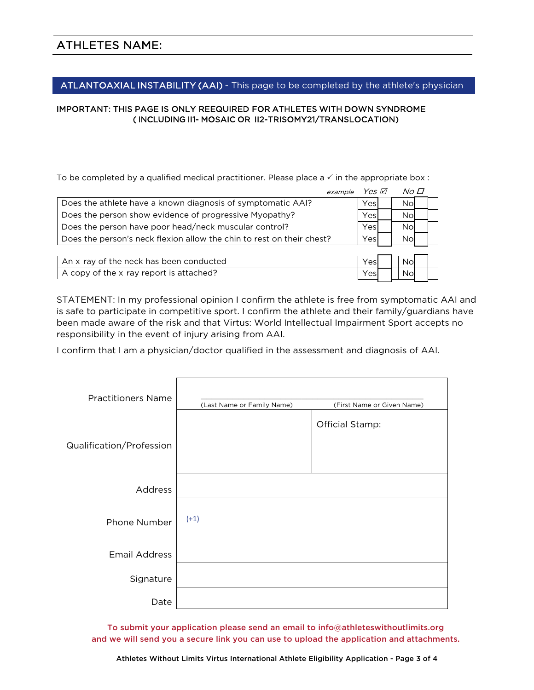#### ATLANTOAXIAL INSTABILITY (AAI) - This page to be completed by the athlete's physician

#### IMPORTANT: THIS PAGE IS ONLY REEQUIRED FOR ATHLETES WITH DOWN SYNDROME (INCLUDING II1- MOSAIC OR II2-TRISOMY21/TRANSLOCATION)

To be completed by a qualified medical practitioner. Please place a  $\checkmark$  in the appropriate box:

| example                                                               | Yes M | No O |  |
|-----------------------------------------------------------------------|-------|------|--|
| Does the athlete have a known diagnosis of symptomatic AAI?           | Yesl  | Nol  |  |
| Does the person show evidence of progressive Myopathy?                | Yesl  | Nol  |  |
| Does the person have poor head/neck muscular control?                 | Yesl  | Nol  |  |
| Does the person's neck flexion allow the chin to rest on their chest? | Yesl  | Nol  |  |
|                                                                       |       |      |  |
| An x ray of the neck has been conducted                               | Yesl  |      |  |

A copy of the x ray report is attached?  $|Yes|$  | No

STATEMENT: In my professional opinion I confirm the athlete is free from symptomatic AAI and is safe to participate in competitive sport. I confirm the athlete and their family/guardians have been made aware of the risk and that Virtus: World Intellectual Impairment Sport accepts no responsibility in the event of injury arising from AAI.

I confirm that I am a physician/doctor qualified in the assessment and diagnosis of AAI.

| <b>Practitioners Name</b> | (Last Name or Family Name) | (First Name or Given Name) |
|---------------------------|----------------------------|----------------------------|
| Qualification/Profession  |                            | Official Stamp:            |
| Address                   |                            |                            |
| Phone Number              | $(+1)$                     |                            |
| <b>Email Address</b>      |                            |                            |
| Signature                 |                            |                            |
| Date                      |                            |                            |

To submit your application please send an email to info@athleteswithoutlimits.org and we will send you a secure link you can use to upload the application and attachments.